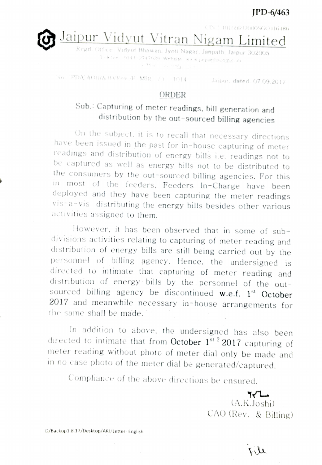## JPD-6/463

CIN-U-10109RT2000SGC016486

Jaipur Vidyut Vitran Nigam Limited

Triciae 16141-2747939 Websito wa appurdise om.com<br>1119 - Tico w angles film

No. JPD/CAO(R&B)/Rev./F. MBC /D 1014 Jaipur. dated: 07.09.2017

## ORDER

## Sub.: Capturing of meter readings. bill generation and distribution by the out-sourced billing agencies

On the subject, it is to recall that necessary directions have been issued in the past for in-house capturing of meter readings and distribution of energy bills i.e. readings not to be captured as well as energy bills not to be distributed to the consumers by the out-sourced billing agencies. For this in most of the feeders, Feeders In-Charge have been deployed and they have been capturing the meter readings Vis-a-vis distributing the energy bills besides other various activities assigned to them.

However, it has been observed that in some of subdivisions activities relating to capturing of neter reading and distribution of energy bills are still being carried out by the personnel of billing agency. Hence. the undersigned is directed to intimate that capturing of meter reading and distribution of energy bills by the personnel of the outsourced billing agency be discontinued w.e.f.  $1<sup>st</sup>$  October 2017 and meanwhile necessary in-house arrangements for the same shall be made.

In addition to above, the undersigned has also been directed to intimate that from October 1st<sup>2</sup> 2017 capturing of meter reading without photo of meter dial only be made and in no case photo of the meter dial be generated/captured.

Compliance of the above directions be ensured.

ساكه (A.K.Joshi) CAO (Rev. & Biling)

D/Backup1.8.17/Desktop/AKJ/Letter English